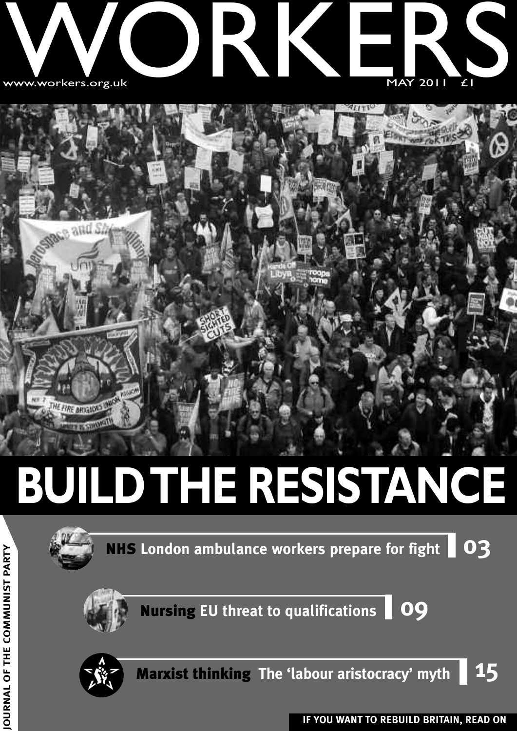



## **BUILDTHE RESISTANCE**



**NHS London ambulance workers prepare for fight 03**



**Nursing EU threat to qualifications 09**



**U R N A L O F T H E C O M M U NIS T**

**PA R T Y**

**Marxist thinking The 'labour aristocracy' myth 15**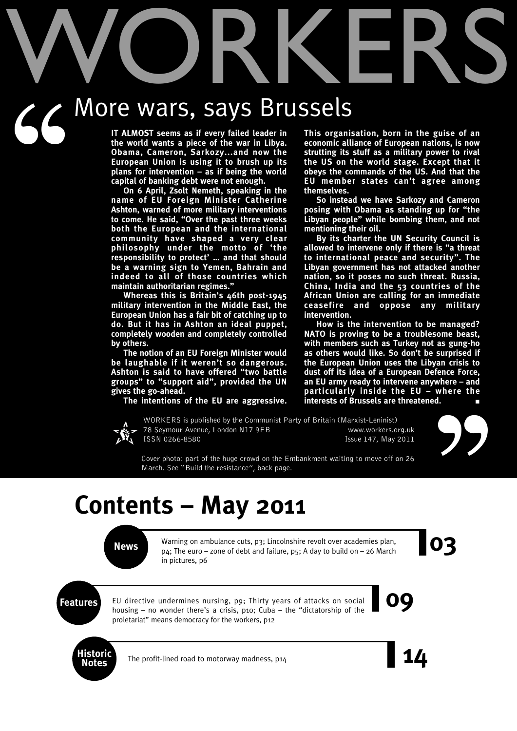# WORKERS

# $66'$ More wars, says Brussels

**IT ALMOST seems as if every failed leader in the world wants a piece of the war in Libya. Obama, Cameron, Sarkozy...and now the European Union is using it to brush up its plans for intervention – as if being the world capital of banking debt were not enough.**

**On 6 April, Zsolt Nemeth, speaking in the name of EU Foreign Minister Catherine Ashton, warned of more military interventions to come. He said, "Over the past three weeks both the European and the international community have shaped a very clear philosophy under the motto of 'the responsibility to protect' … and that should be a warning sign to Yemen, Bahrain and indeed to all of those countries which maintain authoritarian regimes."**

**Whereas this is Britain's 46th post-1945 military intervention in the Middle East, the European Union has a fair bit of catching up to do. But it has in Ashton an ideal puppet, completely wooden and completely controlled by others.**

**The notion of an EU Foreign Minister would be laughable if it weren't so dangerous. Ashton is said to have offered "two battle groups" to "support aid", provided the UN gives the go-ahead.**

**The intentions of the EU are aggressive.**



WORKERS is published by the Communist Party of Britain (Marxist-Leninist) 78 Seymour Avenue, London N17 9EB www.workers.org.uk ISSN 0266-8580 Issue 147, May 2011

**This organisation, born in the guise of an economic alliance of European nations, is now strutting its stuff as a military power to rival the US on the world stage. Except that it obeys the commands of the US. And that the EU member states can't agree among themselves.**

**So instead we have Sarkozy and Cameron posing with Obama as standing up for "the Libyan people" while bombing them, and not mentioning their oil.**

**By its charter the UN Security Council is allowed to intervene only if there is "a threat to international peace and security". The Libyan government has not attacked another nation, so it poses no such threat. Russia, China, India and the 53 countries of the African Union are calling for an immediate ceasefire and oppose any military intervention.**

**How is the intervention to be managed? NATO is proving to be a troublesome beast, with members such as Turkey not as gung-ho as others would like. So don't be surprised if the European Union uses the Libyan crisis to dust off its idea of a European Defence Force, an EU army ready to intervene anywhere – and particularly inside the EU – where the interests of Brussels are threatened.** 



Cover photo: part of the huge crowd on the Embankment waiting to move off on 26 March. See "Build the resistance", back page.

### **Contents – May 2011**

Warning on ambulance cuts, p3; Lincolnshire revolt over academies plan,<br>p<sub>4</sub>; The euro – zone of debt and failure, p5; A day to build on – 26 March Warning on ambulance cuts, p3; Lincolnshire revolt over academies plan, p4; The euro – zone of debt and failure, p5; A day to build on – 26 March in pictures, p6

**Features** EU directive undermines nursing, p9; Thirty years of attacks on social **09** EU directive undermines nursing, p9; Thirty years of attacks on social housing – no wonder there's a crisis, p10; Cuba – the "dictatorship of the proletariat" means democracy for the workers, p12



The profit-lined road to motorway madness, p14

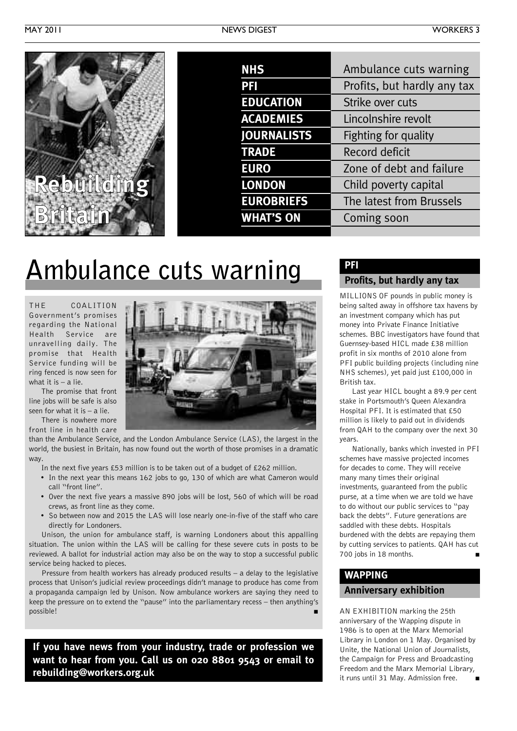

| <b>NHS</b>         | Ambulance cuts warning      |
|--------------------|-----------------------------|
| PFI                | Profits, but hardly any tax |
| <b>EDUCATION</b>   | Strike over cuts            |
| <b>ACADEMIES</b>   | Lincolnshire revolt         |
| <b>JOURNALISTS</b> | Fighting for quality        |
| <b>TRADE</b>       | <b>Record deficit</b>       |
| <b>EURO</b>        | Zone of debt and failure    |
| <b>LONDON</b>      | Child poverty capital       |
| <b>EUROBRIEFS</b>  | The latest from Brussels    |
| <b>WHAT'S ON</b>   | Coming soon                 |
|                    |                             |

### **Ambulance cuts warning**

THE COALITION Government's promises regarding the National Health Service are unravelling daily. The promise that Health Service funding will be ring fenced is now seen for what it is  $-$  a lie.

The promise that front line jobs will be safe is also seen for what it is  $-$  a lie.

There is nowhere more front line in health care

than the Ambulance Service, and the London Ambulance Service (LAS), the largest in the world, the busiest in Britain, has now found out the worth of those promises in a dramatic way.

- In the next five years £53 million is to be taken out of a budget of £262 million.
- In the next year this means 162 jobs to go, 130 of which are what Cameron would call "front line".
- Over the next five years a massive 890 jobs will be lost, 560 of which will be road crews, as front line as they come.
- So between now and 2015 the LAS will lose nearly one-in-five of the staff who care directly for Londoners.

Unison, the union for ambulance staff, is warning Londoners about this appalling situation. The union within the LAS will be calling for these severe cuts in posts to be reviewed. A ballot for industrial action may also be on the way to stop a successful public service being hacked to pieces.

Pressure from health workers has already produced results – a delay to the legislative process that Unison's judicial review proceedings didn't manage to produce has come from a propaganda campaign led by Unison. Now ambulance workers are saying they need to keep the pressure on to extend the "pause" into the parliamentary recess – then anything's possible! **■**

**If you have news from your industry, trade or profession we want to hear from you. Call us on 020 8801 9543 or email to rebuilding@workers.org.uk**

### **PFI**

### **Profits, but hardly any tax**

MILLIONS OF pounds in public money is being salted away in offshore tax havens by an investment company which has put money into Private Finance Initiative schemes. BBC investigators have found that Guernsey-based HICL made £38 million profit in six months of 2010 alone from PFI public building projects (including nine NHS schemes), yet paid just £100,000 in British tax.

Last year HICL bought a 89.9 per cent stake in Portsmouth's Queen Alexandra Hospital PFI. It is estimated that £50 million is likely to paid out in dividends from QAH to the company over the next 30 years.

Nationally, banks which invested in PFI schemes have massive projected incomes for decades to come. They will receive many many times their original investments, guaranteed from the public purse, at a time when we are told we have to do without our public services to "pay back the debts". Future generations are saddled with these debts. Hospitals burdened with the debts are repaying them by cutting services to patients. QAH has cut 700 jobs in 18 months. **■**

### **WAPPING**

### **Anniversary exhibition**

AN EXHIBITION marking the 25th anniversary of the Wapping dispute in 1986 is to open at the Marx Memorial Library in London on 1 May. Organised by Unite, the National Union of Journalists, the Campaign for Press and Broadcasting Freedom and the Marx Memorial Library, it runs until 31 May. Admission free.

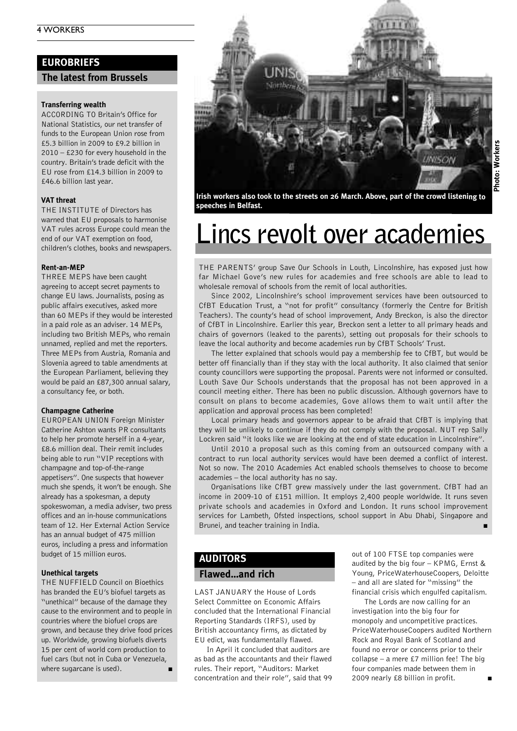### **EUROBRIEFS**

#### **The latest from Brussels**

#### **Transferring wealth**

ACCORDING TO Britain's Office for National Statistics, our net transfer of funds to the European Union rose from £5.3 billion in 2009 to £9.2 billion in 2010 – £230 for every household in the country. Britain's trade deficit with the EU rose from £14.3 billion in 2009 to £46.6 billion last year.

#### **VAT threat**

THE INSTITUTE of Directors has warned that EU proposals to harmonise VAT rules across Europe could mean the end of our VAT exemption on food, children's clothes, books and newspapers.

#### **Rent-an-MEP**

THREE MEPS have been caught agreeing to accept secret payments to change EU laws. Journalists, posing as public affairs executives, asked more than 60 MEPs if they would be interested in a paid role as an adviser. 14 MEPs, including two British MEPs, who remain unnamed, replied and met the reporters. Three MEPs from Austria, Romania and Slovenia agreed to table amendments at the European Parliament, believing they would be paid an £87,300 annual salary, a consultancy fee, or both.

#### **Champagne Catherine**

EUROPEAN UNION Foreign Minister Catherine Ashton wants PR consultants to help her promote herself in a 4-year, £8.6 million deal. Their remit includes being able to run "VIP receptions with champagne and top-of-the-range appetisers". One suspects that however much she spends, it won't be enough. She already has a spokesman, a deputy spokeswoman, a media adviser, two press offices and an in-house communications team of 12. Her External Action Service has an annual budget of 475 million euros, including a press and information budget of 15 million euros.

#### **Unethical targets**

THE NUFFIELD Council on Bioethics has branded the EU's biofuel targets as "unethical" because of the damage they cause to the environment and to people in countries where the biofuel crops are grown, and because they drive food prices up. Worldwide, growing biofuels diverts 15 per cent of world corn production to fuel cars (but not in Cuba or Venezuela, where sugarcane is used).



**Irish workers also took to the streets on 26 March. Above, part of the crowd listening to speeches in Belfast.**

### **Lincs revolt over academies**

THE PARENTS' group Save Our Schools in Louth, Lincolnshire, has exposed just how far Michael Gove's new rules for academies and free schools are able to lead to wholesale removal of schools from the remit of local authorities.

Since 2002, Lincolnshire's school improvement services have been outsourced to CfBT Education Trust, a "not for profit" consultancy (formerly the Centre for British Teachers). The county's head of school improvement, Andy Breckon, is also the director of CfBT in Lincolnshire. Earlier this year, Breckon sent a letter to all primary heads and chairs of governors (leaked to the parents), setting out proposals for their schools to leave the local authority and become academies run by CfBT Schools' Trust.

The letter explained that schools would pay a membership fee to CfBT, but would be better off financially than if they stay with the local authority. It also claimed that senior county councillors were supporting the proposal. Parents were not informed or consulted. Louth Save Our Schools understands that the proposal has not been approved in a council meeting either. There has been no public discussion. Although governors have to consult on plans to become academies, Gove allows them to wait until after the application and approval process has been completed!

Local primary heads and governors appear to be afraid that CfBT is implying that they will be unlikely to continue if they do not comply with the proposal. NUT rep Sally Lockren said "it looks like we are looking at the end of state education in Lincolnshire".

Until 2010 a proposal such as this coming from an outsourced company with a contract to run local authority services would have been deemed a conflict of interest. Not so now. The 2010 Academies Act enabled schools themselves to choose to become academies – the local authority has no say.

Organisations like CfBT grew massively under the last government. CfBT had an income in 2009-10 of £151 million. It employs 2,400 people worldwide. It runs seven private schools and academies in Oxford and London. It runs school improvement services for Lambeth, Ofsted inspections, school support in Abu Dhabi, Singapore and Brunei, and teacher training in India. **■**

### **AUDITORS**

### **Flawed…and rich**

LAST JANUARY the House of Lords Select Committee on Economic Affairs concluded that the International Financial Reporting Standards (IRFS), used by British accountancy firms, as dictated by EU edict, was fundamentally flawed.

In April it concluded that auditors are as bad as the accountants and their flawed rules. Their report, "Auditors: Market concentration and their role", said that 99 out of 100 FTSE top companies were audited by the big four – KPMG, Ernst & Young, PriceWaterhouseCoopers, Deloitte – and all are slated for "missing" the financial crisis which engulfed capitalism.

The Lords are now calling for an investigation into the big four for monopoly and uncompetitive practices. PriceWaterhouseCoopers audited Northern Rock and Royal Bank of Scotland and found no error or concerns prior to their collapse – a mere £7 million fee! The big four companies made between them in 2009 nearly £8 billion in profit. **■**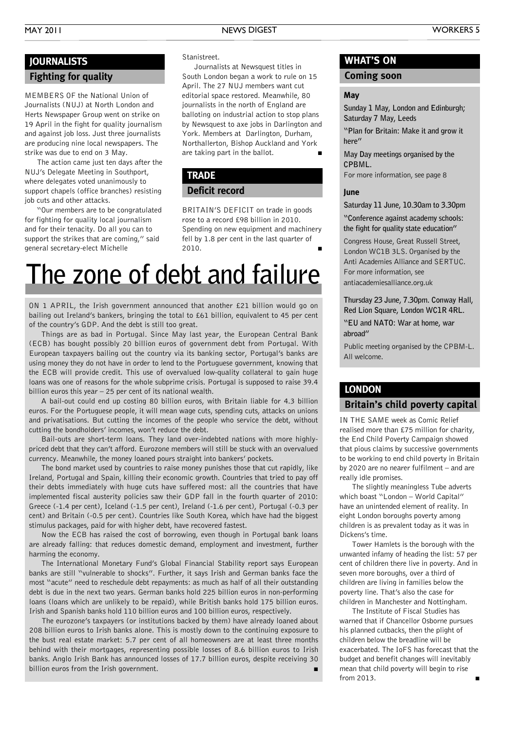### **JOURNALISTS**

### **Fighting for quality**

MEMBERS OF the National Union of Journalists (NUJ) at North London and Herts Newspaper Group went on strike on 19 April in the fight for quality journalism and against job loss. Just three journalists are producing nine local newspapers. The strike was due to end on 3 May.

The action came just ten days after the NUJ's Delegate Meeting in Southport, where delegates voted unanimously to support chapels (office branches) resisting job cuts and other attacks.

"Our members are to be congratulated for fighting for quality local journalism and for their tenacity. Do all you can to support the strikes that are coming," said general secretary-elect Michelle

#### Stanistreet.

Journalists at Newsquest titles in South London began a work to rule on 15 April. The 27 NUJ members want cut editorial space restored. Meanwhile, 80 journalists in the north of England are balloting on industrial action to stop plans by Newsquest to axe jobs in Darlington and York. Members at Darlington, Durham, Northallerton, Bishop Auckland and York are taking part in the ballot. **■**

### **TRADE**

### **Deficit record**

BRITAIN'S DEFICIT on trade in goods rose to a record £98 billion in 2010. Spending on new equipment and machinery fell by 1.8 per cent in the last quarter of 2010. **■**

### **The zone of debt and failure**

ON 1 APRIL, the Irish government announced that another £21 billion would go on bailing out Ireland's bankers, bringing the total to £61 billion, equivalent to 45 per cent of the country's GDP. And the debt is still too great.

Things are as bad in Portugal. Since May last year, the European Central Bank (ECB) has bought possibly 20 billion euros of government debt from Portugal. With European taxpayers bailing out the country via its banking sector, Portugal's banks are using money they do not have in order to lend to the Portuguese government, knowing that the ECB will provide credit. This use of overvalued low-quality collateral to gain huge loans was one of reasons for the whole subprime crisis. Portugal is supposed to raise 39.4 billion euros this year – 25 per cent of its national wealth.

A bail-out could end up costing 80 billion euros, with Britain liable for 4.3 billion euros. For the Portuguese people, it will mean wage cuts, spending cuts, attacks on unions and privatisations. But cutting the incomes of the people who service the debt, without cutting the bondholders' incomes, won't reduce the debt.

Bail-outs are short-term loans. They land over-indebted nations with more highlypriced debt that they can't afford. Eurozone members will still be stuck with an overvalued currency. Meanwhile, the money loaned pours straight into bankers' pockets.

The bond market used by countries to raise money punishes those that cut rapidly, like Ireland, Portugal and Spain, killing their economic growth. Countries that tried to pay off their debts immediately with huge cuts have suffered most: all the countries that have implemented fiscal austerity policies saw their GDP fall in the fourth quarter of 2010: Greece (-1.4 per cent), Iceland (-1.5 per cent), Ireland (-1.6 per cent), Portugal (-0.3 per cent) and Britain (-0.5 per cent). Countries like South Korea, which have had the biggest stimulus packages, paid for with higher debt, have recovered fastest.

Now the ECB has raised the cost of borrowing, even though in Portugal bank loans are already falling: that reduces domestic demand, employment and investment, further harming the economy.

The International Monetary Fund's Global Financial Stability report says European banks are still "vulnerable to shocks". Further, it says Irish and German banks face the most "acute" need to reschedule debt repayments: as much as half of all their outstanding debt is due in the next two years. German banks hold 225 billion euros in non-performing loans (loans which are unlikely to be repaid), while British banks hold 175 billion euros. Irish and Spanish banks hold 110 billion euros and 100 billion euros, respectively.

The eurozone's taxpayers (or institutions backed by them) have already loaned about 208 billion euros to Irish banks alone. This is mostly down to the continuing exposure to the bust real estate market: 5.7 per cent of all homeowners are at least three months behind with their mortgages, representing possible losses of 8.6 billion euros to Irish banks. Anglo Irish Bank has announced losses of 17.7 billion euros, despite receiving 30 billion euros from the Irish government.

### **WHAT'S ON**

### **Coming soon**

#### **May**

**Sunday 1 May, London and Edinburgh; Saturday 7 May, Leeds**

**"Plan for Britain: Make it and grow it here"**

**May Day meetings organised by the CPBML.**

For more information, see page 8

#### **June**

**Saturday 11 June, 10.30am to 3.30pm**

**"Conference against academy schools: the fight for quality state education"**

Congress House, Great Russell Street, London WC1B 3LS. Organised by the Anti Academies Alliance and SERTUC. For more information, see antiacademiesalliance.org.uk

**Thursday 23 June, 7.30pm. Conway Hall, Red Lion Square, London WC1R 4RL.**

**"EU and NATO: War at home, war abroad"**

Public meeting organised by the CPBM-L. All welcome.

#### **LONDON**

### **Britain's child poverty capital**

IN THE SAME week as Comic Relief realised more than £75 million for charity, the End Child Poverty Campaign showed that pious claims by successive governments to be working to end child poverty in Britain by 2020 are no nearer fulfilment – and are really idle promises.

The slightly meaningless Tube adverts which boast "London - World Capital" have an unintended element of reality. In eight London boroughs poverty among children is as prevalent today as it was in Dickens's time.

Tower Hamlets is the borough with the unwanted infamy of heading the list: 57 per cent of children there live in poverty. And in seven more boroughs, over a third of children are living in families below the poverty line. That's also the case for children in Manchester and Nottingham.

The Institute of Fiscal Studies has warned that if Chancellor Osborne pursues his planned cutbacks, then the plight of children below the breadline will be exacerbated. The IoFS has forecast that the budget and benefit changes will inevitably mean that child poverty will begin to rise from 2013. **■**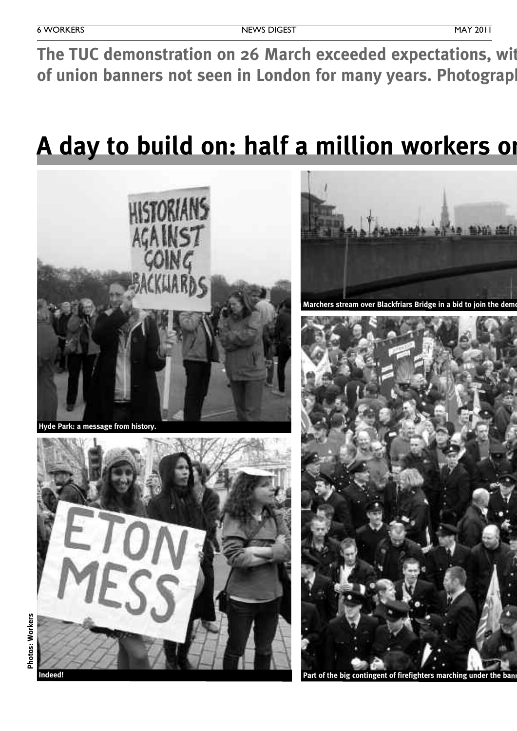The TUC demonstration on 26 March exceeded expectations, wit of union banners not seen in London for many years. Photograpl

### A day to build on: half a million workers on



**Hyde Park: <sup>a</sup> message from history.**





**Marchers stream over Blackfriars Bridge in a bid to join the dement** 



**Part of the big contingent of firefighters marching under the banners of the Fire Brigades Union.**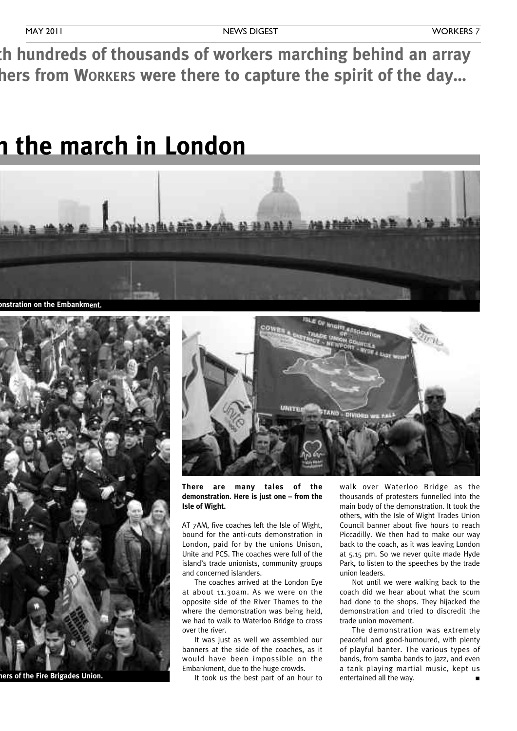h hundreds of thousands of workers marching behind an array hers from Workers were there to capture the spirit of the day...

### **A day to build on: half a million workers on the march in London**



**Marchers stream over Blackfriars Bridge in <sup>a</sup> bid to join the demonstration on the Embankment.**



**Part of the big contingent of firefighters marching under the banners of the Fire Brigades Union.**



**There are many tales of the demonstration. Here is just one – from the Isle of Wight.**

AT 7AM, five coaches left the Isle of Wight, bound for the anti-cuts demonstration in London, paid for by the unions Unison, Unite and PCS. The coaches were full of the island's trade unionists, community groups and concerned islanders.

The coaches arrived at the London Eye at about 11.30am. As we were on the opposite side of the River Thames to the where the demonstration was being held, we had to walk to Waterloo Bridge to cross over the river.

It was just as well we assembled our banners at the side of the coaches, as it would have been impossible on the Embankment, due to the huge crowds.

It took us the best part of an hour to

walk over Waterloo Bridge as the thousands of protesters funnelled into the main body of the demonstration. It took the others, with the Isle of Wight Trades Union Council banner about five hours to reach Piccadilly. We then had to make our way back to the coach, as it was leaving London at 5.15 pm. So we never quite made Hyde Park, to listen to the speeches by the trade union leaders.

Not until we were walking back to the coach did we hear about what the scum had done to the shops. They hijacked the demonstration and tried to discredit the trade union movement.

The demonstration was extremely peaceful and good-humoured, with plenty of playful banter. The various types of bands, from samba bands to jazz, and even a tank playing martial music, kept us entertained all the way.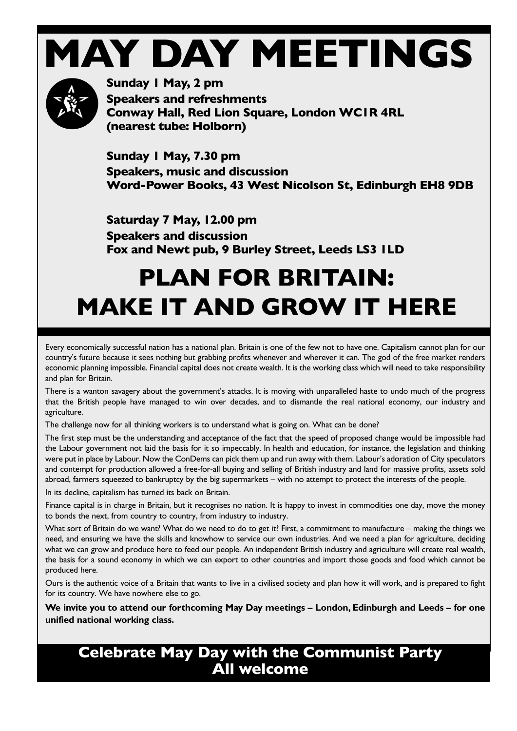## **MAY DAY MEETINGS**



**Sunday 1 May, 2 pm Speakers and refreshments Conway Hall, Red Lion Square, London WC1R 4RL (nearest tube: Holborn)**

**Sunday 1 May, 7.30 pm Speakers, music and discussion Word-Power Books, 43 West Nicolson St, Edinburgh EH8 9DB**

**Saturday 7 May, 12.00 pm Speakers and discussion Fox and Newt pub, 9 Burley Street, Leeds LS3 1LD**

### **PLAN FOR BRITAIN: MAKE IT AND GROW IT HERE**

Every economically successful nation has a national plan. Britain is one of the few not to have one. Capitalism cannot plan for our country's future because it sees nothing but grabbing profits whenever and wherever it can. The god of the free market renders economic planning impossible. Financial capital does not create wealth. It is the working class which will need to take responsibility and plan for Britain.

There is a wanton savagery about the government's attacks. It is moving with unparalleled haste to undo much of the progress that the British people have managed to win over decades, and to dismantle the real national economy, our industry and agriculture.

The challenge now for all thinking workers is to understand what is going on. What can be done?

The first step must be the understanding and acceptance of the fact that the speed of proposed change would be impossible had the Labour government not laid the basis for it so impeccably. In health and education, for instance, the legislation and thinking were put in place by Labour. Now the ConDems can pick them up and run away with them. Labour's adoration of City speculators and contempt for production allowed a free-for-all buying and selling of British industry and land for massive profits, assets sold abroad, farmers squeezed to bankruptcy by the big supermarkets – with no attempt to protect the interests of the people.

In its decline, capitalism has turned its back on Britain.

Finance capital is in charge in Britain, but it recognises no nation. It is happy to invest in commodities one day, move the money to bonds the next, from country to country, from industry to industry.

What sort of Britain do we want? What do we need to do to get it? First, a commitment to manufacture – making the things we need, and ensuring we have the skills and knowhow to service our own industries. And we need a plan for agriculture, deciding what we can grow and produce here to feed our people. An independent British industry and agriculture will create real wealth, the basis for a sound economy in which we can export to other countries and import those goods and food which cannot be produced here.

Ours is the authentic voice of a Britain that wants to live in a civilised society and plan how it will work, and is prepared to fight for its country. We have nowhere else to go.

**We invite you to attend our forthcoming May Day meetings – London, Edinburgh and Leeds – for one unified national working class.**

### **Celebrate May Day with the Communist Party All welcome**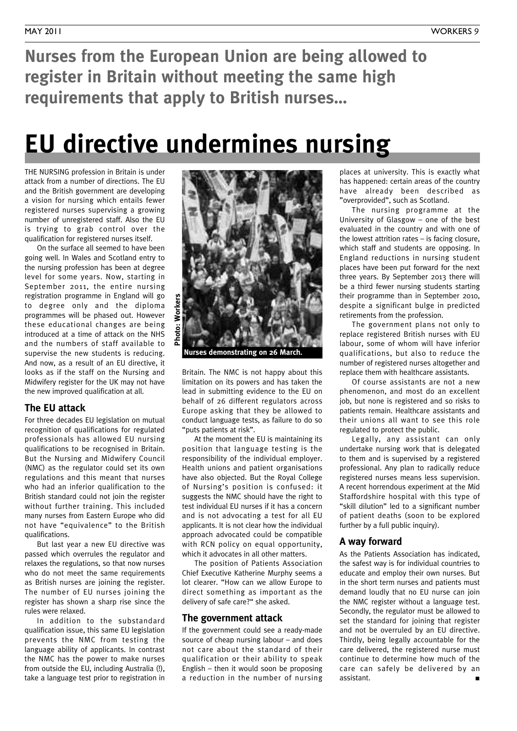**Nurses from the European Union are being allowed to register in Britain without meeting the same high requirements that apply to British nurses…**

### **EU directive undermines nursing**

THE NURSING profession in Britain is under attack from a number of directions. The EU and the British government are developing a vision for nursing which entails fewer registered nurses supervising a growing number of unregistered staff. Also the EU is trying to grab control over the qualification for registered nurses itself.

On the surface all seemed to have been going well. In Wales and Scotland entry to the nursing profession has been at degree level for some years. Now, starting in September 2011, the entire nursing registration programme in England will go to degree only and the diploma programmes will be phased out. However these educational changes are being introduced at a time of attack on the NHS and the numbers of staff available to supervise the new students is reducing. And now, as a result of an EU directive, it looks as if the staff on the Nursing and Midwifery register for the UK may not have the new improved qualification at all.

### **The EU attack**

For three decades EU legislation on mutual recognition of qualifications for regulated professionals has allowed EU nursing qualifications to be recognised in Britain. But the Nursing and Midwifery Council (NMC) as the regulator could set its own regulations and this meant that nurses who had an inferior qualification to the British standard could not join the register without further training. This included many nurses from Eastern Europe who did not have "equivalence" to the British qualifications.

But last year a new EU directive was passed which overrules the regulator and relaxes the regulations, so that now nurses who do not meet the same requirements as British nurses are joining the register. The number of EU nurses joining the register has shown a sharp rise since the rules were relaxed.

In addition to the substandard qualification issue, this same EU legislation prevents the NMC from testing the language ability of applicants. In contrast the NMC has the power to make nurses from outside the EU, including Australia (!), take a language test prior to registration in



**Nurses demonstrating on 26 March.**

Britain. The NMC is not happy about this limitation on its powers and has taken the lead in submitting evidence to the EU on behalf of 26 different regulators across Europe asking that they be allowed to conduct language tests, as failure to do so "puts patients at risk".

At the moment the EU is maintaining its position that language testing is the responsibility of the individual employer. Health unions and patient organisations have also objected. But the Royal College of Nursing's position is confused: it suggests the NMC should have the right to test individual EU nurses if it has a concern and is not advocating a test for all EU applicants. It is not clear how the individual approach advocated could be compatible with RCN policy on equal opportunity, which it advocates in all other matters.

The position of Patients Association Chief Executive Katherine Murphy seems a lot clearer. "How can we allow Europe to direct something as important as the delivery of safe care?" she asked.

### **The government attack**

If the government could see a ready-made source of cheap nursing labour – and does not care about the standard of their qualification or their ability to speak English – then it would soon be proposing a reduction in the number of nursing places at university. This is exactly what has happened: certain areas of the country have already been described as "overprovided", such as Scotland.

The nursing programme at the University of Glasgow – one of the best evaluated in the country and with one of the lowest attrition rates – is facing closure, which staff and students are opposing. In England reductions in nursing student places have been put forward for the next three years. By September 2013 there will be a third fewer nursing students starting their programme than in September 2010, despite a significant bulge in predicted retirements from the profession.

The government plans not only to replace registered British nurses with EU labour, some of whom will have inferior qualifications, but also to reduce the number of registered nurses altogether and replace them with healthcare assistants.

Of course assistants are not a new phenomenon, and most do an excellent job, but none is registered and so risks to patients remain. Healthcare assistants and their unions all want to see this role regulated to protect the public.

Legally, any assistant can only undertake nursing work that is delegated to them and is supervised by a registered professional. Any plan to radically reduce registered nurses means less supervision. A recent horrendous experiment at the Mid Staffordshire hospital with this type of "skill dilution" led to a significant number of patient deaths (soon to be explored further by a full public inquiry).

### **A way forward**

As the Patients Association has indicated, the safest way is for individual countries to educate and employ their own nurses. But in the short term nurses and patients must demand loudly that no EU nurse can join the NMC register without a language test. Secondly, the regulator must be allowed to set the standard for joining that register and not be overruled by an EU directive. Thirdly, being legally accountable for the care delivered, the registered nurse must continue to determine how much of the care can safely be delivered by an assistant. **■**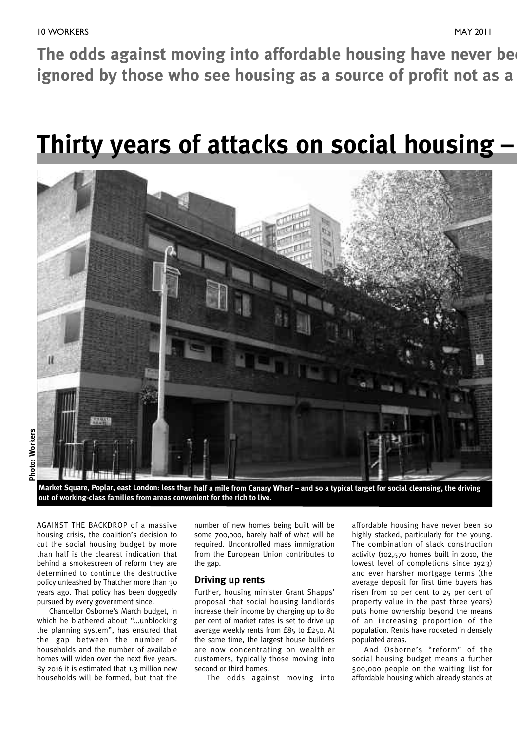The odds against moving into affordable housing have never be **ignored** by those who see housing as a source of profit not as a

### **Thirty years of attacks on social housing –**



Market Square, Poplar, east London: less than half a mile from Canary Wharf - and so a typical target for social cleansing, the driving **out of working-class families from areas convenient for the rich to live.**

AGAINST THE BACKDROP of a massive housing crisis, the coalition's decision to cut the social housing budget by more than half is the clearest indication that behind a smokescreen of reform they are determined to continue the destructive policy unleashed by Thatcher more than 30 years ago. That policy has been doggedly pursued by every government since.

Chancellor Osborne's March budget, in which he blathered about "…unblocking the planning system", has ensured that the gap between the number of households and the number of available homes will widen over the next five years. By 2016 it is estimated that 1.3 million new households will be formed, but that the

number of new homes being built will be some 700,000, barely half of what will be required. Uncontrolled mass immigration from the European Union contributes to the gap.

### **Driving up rents**

Further, housing minister Grant Shapps' proposal that social housing landlords increase their income by charging up to 80 per cent of market rates is set to drive up average weekly rents from £85 to £250. At the same time, the largest house builders are now concentrating on wealthier customers, typically those moving into second or third homes.

The odds against moving into

affordable housing have never been so highly stacked, particularly for the young. The combination of slack construction activity (102,570 homes built in 2010, the lowest level of completions since 1923) and ever harsher mortgage terms (the average deposit for first time buyers has risen from 10 per cent to 25 per cent of property value in the past three years) puts home ownership beyond the means of an increasing proportion of the population. Rents have rocketed in densely populated areas.

And Osborne's "reform" of the social housing budget means a further 500,000 people on the waiting list for affordable housing which already stands at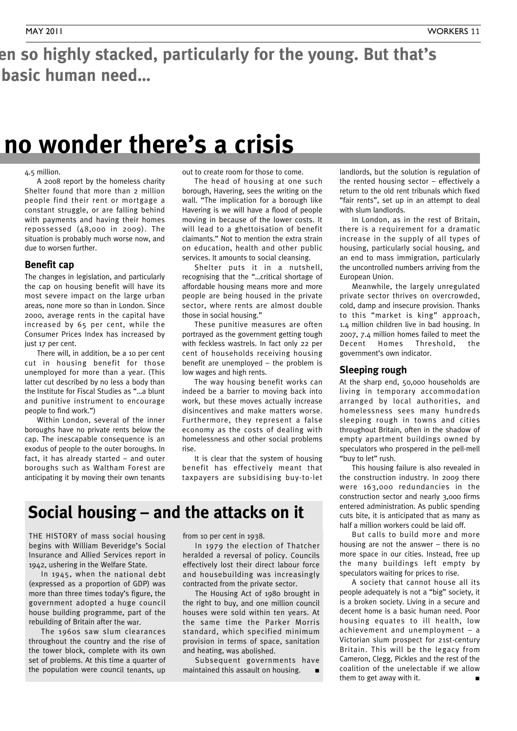### en so highly stacked, particularly for the young. But that's **basic** human need...

### **no** wonder there's a crisis

#### 4.5 million.

A 2008 report by the homeless charity Shelter found that more than 2 million people find their rent or mortgage a constant struggle, or are falling behind with payments and having their homes repossessed (48,000 in 2009). The situation is probably much worse now, and due to worsen further.

### **Benefit cap**

The changes in legislation, and particularly the cap on housing benefit will have its most severe impact on the large urban areas, none more so than in London. Since 2000, average rents in the capital have increased by 65 per cent, while the Consumer Prices Index has increased by just 17 per cent.

There will, in addition, be a 10 per cent cut in housing benefit for those unemployed for more than a year. (This latter cut described by no less a body than the Institute for Fiscal Studies as "…a blunt and punitive instrument to encourage people to find work.")

Within London, several of the inner boroughs have no private rents below the cap. The inescapable consequence is an exodus of people to the outer boroughs. In fact, it has already started – and outer boroughs such as Waltham Forest are anticipating it by moving their own tenants

out to create room for those to come.

The head of housing at one such borough, Havering, sees the writing on the wall. "The implication for a borough like Havering is we will have a flood of people moving in because of the lower costs. It will lead to a ghettoisation of benefit claimants." Not to mention the extra strain on education, health and other public services. It amounts to social cleansing.

Shelter puts it in a nutshell, recognising that the "…critical shortage of affordable housing means more and more people are being housed in the private sector, where rents are almost double those in social housing."

These punitive measures are often portrayed as the government getting tough with feckless wastrels. In fact only 22 per cent of households receiving housing benefit are unemployed – the problem is low wages and high rents.

The way housing benefit works can indeed be a barrier to moving back into work, but these moves actually increase disincentives and make matters worse. Furthermore, they represent a false economy as the costs of dealing with homelessness and other social problems rise.

It is clear that the system of housing benefit has effectively meant that taxpayers are subsidising buy-to-let

### **Social housing – and the attacks on it**

THE HISTORY of mass social housing begins with William Beveridge's Social Insurance and Allied Services report in 1942, ushering in the Welfare State.

In 1945, when the national debt (expressed as <sup>a</sup> proportion of GDP) was more than three times today's figure, the government adopted <sup>a</sup> huge council house building programme, part of the rebuilding of Britain after the war.

The 1960s saw slum clearances throughout the country and the rise of the tower block, complete with its own set of problems. At this time <sup>a</sup> quarter of the population were council tenants, up from <sup>10</sup> per cent in 1938.

In 1979 the election of Thatcher heralded <sup>a</sup> reversal of policy. Councils effectively lost their direct labour force and housebuilding was increasingly contracted from the private sector.

The Housing Act of 1980 brought in the right to buy, and one million council houses were sold within ten years. At the same time the Parker Morris standard, which specified minimum provision in terms of space, sanitation and heating, was abolished.

Subsequent governments have maintained this assault on housing. **■**

landlords, but the solution is regulation of the rented housing sector – effectively a return to the old rent tribunals which fixed "fair rents", set up in an attempt to deal with slum landlords.

In London, as in the rest of Britain, there is a requirement for a dramatic increase in the supply of all types of housing, particularly social housing, and an end to mass immigration, particularly the uncontrolled numbers arriving from the European Union.

Meanwhile, the largely unregulated private sector thrives on overcrowded, cold, damp and insecure provision. Thanks to this "market is king" approach, 1.4 million children live in bad housing. In 2007, 7.4 million homes failed to meet the Decent Homes Threshold, the government's own indicator.

### **Sleeping rough**

At the sharp end, 50,000 households are living in temporary accommodation arranged by local authorities, and homelessness sees many hundreds sleeping rough in towns and cities throughout Britain, often in the shadow of empty apartment buildings owned by speculators who prospered in the pell-mell "buy to let" rush.

This housing failure is also revealed in the construction industry. In 2009 there were 163,000 redundancies in the construction sector and nearly 3,000 firms entered administration. As public spending cuts bite, it is anticipated that as many as half a million workers could be laid off.

But calls to build more and more housing are not the answer – there is no more space in our cities. Instead, free up the many buildings left empty by speculators waiting for prices to rise.

A society that cannot house all its people adequately is not a "big" society, it is a broken society. Living in a secure and decent home is a basic human need. Poor housing equates to ill health, low achievement and unemployment – a Victorian slum prospect for 21st-century Britain. This will be the legacy from Cameron, Clegg, Pickles and the rest of the coalition of the unelectable if we allow them to get away with it. **■**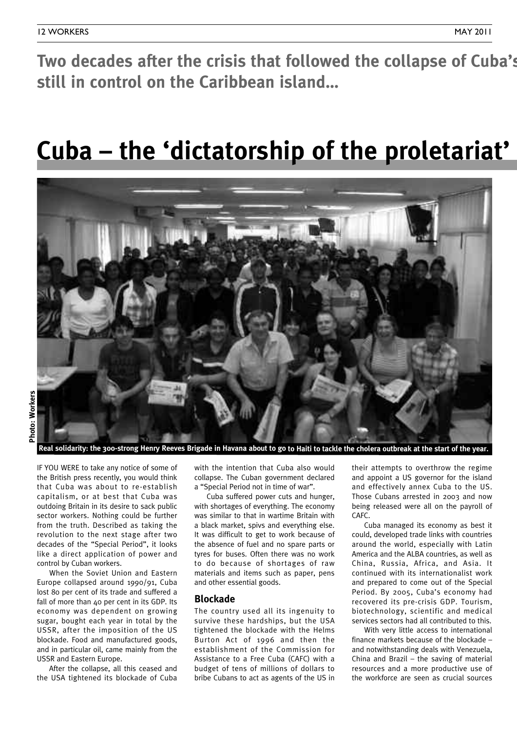**still in control on the Caribbean island…**

### **Cuba** – the 'dictatorship of the proletariat'



IF YOU WERE to take any notice of some of the British press recently, you would think that Cuba was about to re-establish capitalism, or at best that Cuba was outdoing Britain in its desire to sack public sector workers. Nothing could be further from the truth. Described as taking the revolution to the next stage after two decades of the "Special Period", it looks like a direct application of power and control by Cuban workers.

When the Soviet Union and Eastern Europe collapsed around 1990/91, Cuba lost 80 per cent of its trade and suffered a fall of more than 40 per cent in its GDP. Its economy was dependent on growing sugar, bought each year in total by the USSR, after the imposition of the US blockade. Food and manufactured goods, and in particular oil, came mainly from the USSR and Eastern Europe.

After the collapse, all this ceased and the USA tightened its blockade of Cuba

with the intention that Cuba also would collapse. The Cuban government declared a "Special Period not in time of war".

Cuba suffered power cuts and hunger, with shortages of everything. The economy was similar to that in wartime Britain with a black market, spivs and everything else. It was difficult to get to work because of the absence of fuel and no spare parts or tyres for buses. Often there was no work to do because of shortages of raw materials and items such as paper, pens and other essential goods.

### **Blockade**

The country used all its ingenuity to survive these hardships, but the USA tightened the blockade with the Helms Burton Act of 1996 and then the establishment of the Commission for Assistance to a Free Cuba (CAFC) with a budget of tens of millions of dollars to bribe Cubans to act as agents of the US in their attempts to overthrow the regime and appoint a US governor for the island and effectively annex Cuba to the US. Those Cubans arrested in 2003 and now being released were all on the payroll of CAFC.

Cuba managed its economy as best it could, developed trade links with countries around the world, especially with Latin America and the ALBA countries, as well as China, Russia, Africa, and Asia. It continued with its internationalist work and prepared to come out of the Special Period. By 2005, Cuba's economy had recovered its pre-crisis GDP. Tourism, biotechnology, scientific and medical services sectors had all contributed to this.

With very little access to international finance markets because of the blockade – and notwithstanding deals with Venezuela, China and Brazil – the saving of material resources and a more productive use of the workforce are seen as crucial sources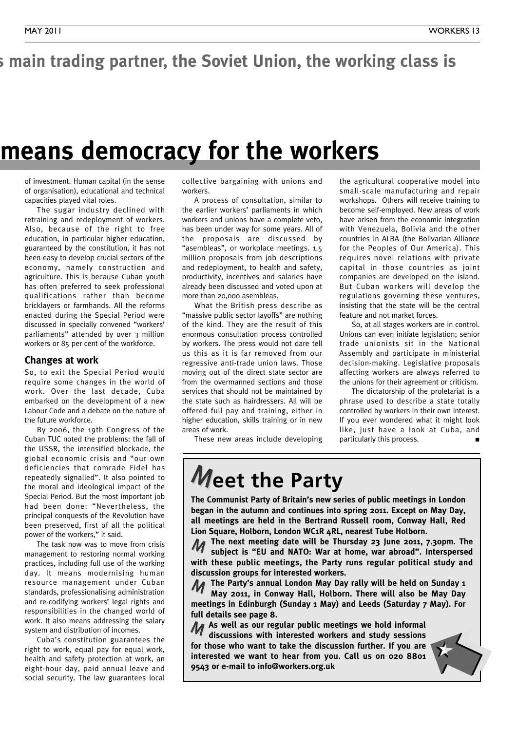### s main trading partner, the Soviet Union, the working class is

### **neans democracy for the workers**

of investment. Human capital (in the sense of organisation), educational and technical capacities played vital roles.

The sugar industry declined with retraining and redeployment of workers. Also, because of the right to free education, in particular higher education, guaranteed by the constitution, it has not been easy to develop crucial sectors of the economy, namely construction and agriculture. This is because Cuban youth has often preferred to seek professional qualifications rather than become bricklayers or farmhands. All the reforms enacted during the Special Period were discussed in specially convened "workers' parliaments" attended by over 3 million workers or 85 per cent of the workforce.

#### **Changes at work**

So, to exit the Special Period would require some changes in the world of work. Over the last decade, Cuba embarked on the development of a new Labour Code and a debate on the nature of the future workforce.

By 2006, the 19th Congress of the Cuban TUC noted the problems: the fall of the USSR, the intensified blockade, the global economic crisis and "our own deficiencies that comrade Fidel has repeatedly signalled". It also pointed to the moral and ideological impact of the Special Period. But the most important job had been done: "Nevertheless, the principal conquests of the Revolution have been preserved, first of all the political power of the workers," it said.

The task now was to move from crisis management to restoring normal working practices, including full use of the working day. It means modernising human resource management under Cuban standards, professionalising administration and re-codifying workers' legal rights and responsibilities in the changed world of work. It also means addressing the salary system and distribution of incomes.

Cuba's constitution guarantees the right to work, equal pay for equal work, health and safety protection at work, an eight-hour day, paid annual leave and social security. The law guarantees local

collective bargaining with unions and workers.

A process of consultation, similar to the earlier workers' parliaments in which workers and unions have a complete veto, has been under way for some years. All of the proposals are discussed by "asembleas", or workplace meetings. 1.5 million proposals from job descriptions and redeployment, to health and safety, productivity, incentives and salaries have already been discussed and voted upon at more than 20,000 asembleas.

What the British press describe as "massive public sector layoffs" are nothing of the kind. They are the result of this enormous consultation process controlled by workers. The press would not dare tell us this as it is far removed from our regressive anti-trade union laws. Those moving out of the direct state sector are from the overmanned sections and those services that should not be maintained by the state such as hairdressers. All will be offered full pay and training, either in higher education, skills training or in new areas of work.

the agricultural cooperative model into small-scale manufacturing and repair workshops. Others will receive training to become self-employed. New areas of work have arisen from the economic integration with Venezuela, Bolivia and the other countries in ALBA (the Bolivarian Alliance for the Peoples of Our America). This requires novel relations with private capital in those countries as joint companies are developed on the island. But Cuban workers will develop the regulations governing these ventures, insisting that the state will be the central feature and not market forces.

So, at all stages workers are in control. Unions can even initiate legislation; senior trade unionists sit in the National Assembly and participate in ministerial decision-making. Legislative proposals affecting workers are always referred to the unions for their agreement or criticism.

The dictatorship of the proletariat is a phrase used to describe a state totally controlled by workers in their own interest. If you ever wondered what it might look like, just have a look at Cuba, and particularly this process. **■**

These new areas include developing

### **Meet the Party**

**The Communist Party of Britain's new series of public meetings in London began in the autumn and continues into spring 2011. Except on May Day, all meetings are held in the Bertrand Russell room, Conway Hall, Red Lion Square, Holborn, London WC1R 4RL, nearest Tube Holborn.**

**The next meeting date will be Thursday 23 June 2011, 7.30pm. The subject is "EU and NATO: War at home, war abroad". Interspersed with these public meetings, the Party runs regular political study and discussion groups for interested workers.** M

**The Party's annual London May Day rally will be held on Sunday 1 May 2011, in Conway Hall, Holborn. There will also be May Day meetings in Edinburgh (Sunday 1 May) and Leeds (Saturday 7 May). For full details see page 8.** M

**As well as our regular public meetings we hold informal** M **discussions with interested workers and study sessions for those who want to take the discussion further. If you are interested we want to hear from you. Call us on 020 8801 9543 or e-mail to info@workers.org.uk**

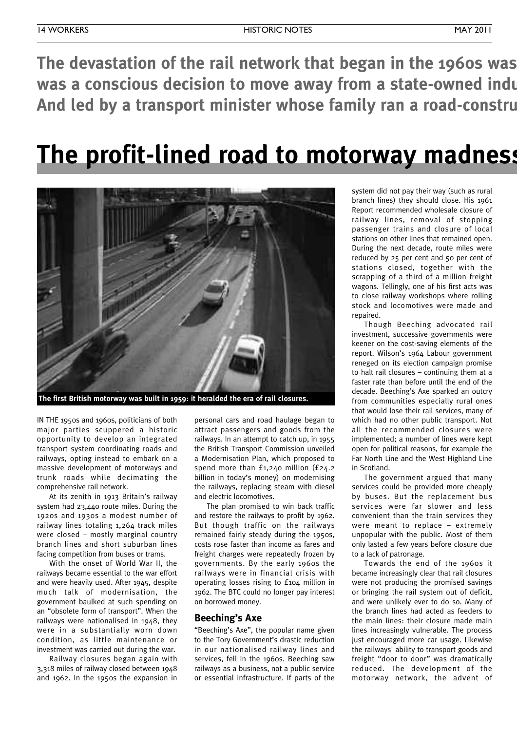**The devastation of the rail network that began in the 1960s was was** a conscious decision to move away from a state-owned indu And led by a transport minister whose family ran a road-constru

### **The profit-lined road to motorway madness**



IN THE 1950s and 1960s, politicians of both major parties scuppered a historic opportunity to develop an integrated transport system coordinating roads and railways, opting instead to embark on a massive development of motorways and trunk roads while decimating the comprehensive rail network.

At its zenith in 1913 Britain's railway system had 23,440 route miles. During the 1920s and 1930s a modest number of railway lines totaling 1,264 track miles were closed – mostly marginal country branch lines and short suburban lines facing competition from buses or trams.

With the onset of World War II, the railways became essential to the war effort and were heavily used. After 1945, despite much talk of modernisation, the government baulked at such spending on an "obsolete form of transport". When the railways were nationalised in 1948, they were in a substantially worn down condition, as little maintenance or investment was carried out during the war.

Railway closures began again with 3,318 miles of railway closed between 1948 and 1962. In the 1950s the expansion in

personal cars and road haulage began to attract passengers and goods from the railways. In an attempt to catch up, in 1955 the British Transport Commission unveiled a Modernisation Plan, which proposed to spend more than £1,240 million (£24.2 billion in today's money) on modernising the railways, replacing steam with diesel and electric locomotives.

The plan promised to win back traffic and restore the railways to profit by 1962. But though traffic on the railways remained fairly steady during the 1950s, costs rose faster than income as fares and freight charges were repeatedly frozen by governments. By the early 1960s the railways were in financial crisis with operating losses rising to £104 million in 1962. The BTC could no longer pay interest on borrowed money.

### **Beeching's Axe**

"Beeching's Axe", the popular name given to the Tory Government's drastic reduction in our nationalised railway lines and services, fell in the 1960s. Beeching saw railways as a business, not a public service or essential infrastructure. If parts of the

system did not pay their way (such as rural branch lines) they should close. His 1961 Report recommended wholesale closure of railway lines, removal of stopping passenger trains and closure of local stations on other lines that remained open. During the next decade, route miles were reduced by 25 per cent and 50 per cent of stations closed, together with the scrapping of a third of a million freight wagons. Tellingly, one of his first acts was to close railway workshops where rolling stock and locomotives were made and repaired.

Though Beeching advocated rail investment, successive governments were keener on the cost-saving elements of the report. Wilson's 1964 Labour government reneged on its election campaign promise to halt rail closures – continuing them at a faster rate than before until the end of the decade. Beeching's Axe sparked an outcry from communities especially rural ones that would lose their rail services, many of which had no other public transport. Not all the recommended closures were implemented; a number of lines were kept open for political reasons, for example the Far North Line and the West Highland Line in Scotland.

The government argued that many services could be provided more cheaply by buses. But the replacement bus services were far slower and less convenient than the train services they were meant to replace – extremely unpopular with the public. Most of them only lasted a few years before closure due to a lack of patronage.

Towards the end of the 1960s it became increasingly clear that rail closures were not producing the promised savings or bringing the rail system out of deficit, and were unlikely ever to do so. Many of the branch lines had acted as feeders to the main lines: their closure made main lines increasingly vulnerable. The process just encouraged more car usage. Likewise the railways' ability to transport goods and freight "door to door" was dramatically reduced. The development of the motorway network, the advent of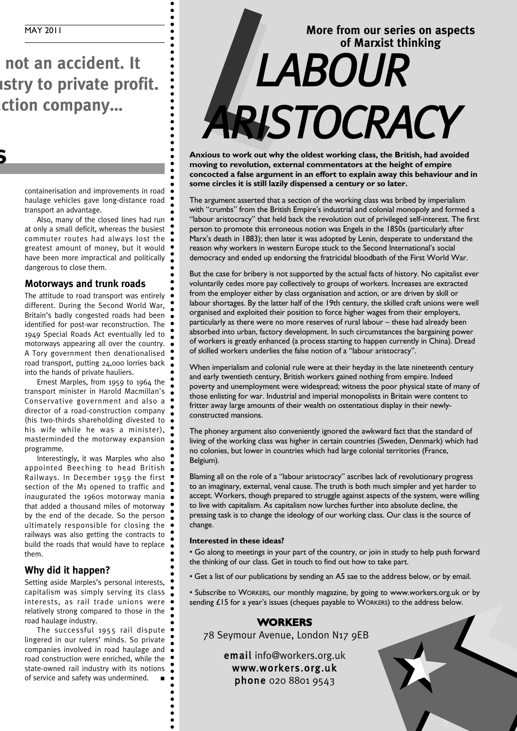**The profit-lined road to motorway madness**

**not** an accident. It *<u><b>stry to private profit.</u>* **And Red company...** 

> containerisation and improvements in road haulage vehicles gave long-distance road transport an advantage.

> Also, many of the closed lines had run at only a small deficit, whereas the busiest commuter routes had always lost the greatest amount of money, but it would have been more impractical and politically dangerous to close them.

#### **Motorways and trunk roads**

The attitude to road transport was entirely different. During the Second World War, Britain's badly congested roads had been identified for post-war reconstruction. The 1949 Special Roads Act eventually led to motorways appearing all over the country. A Tory government then denationalised road transport, putting 24,000 lorries back into the hands of private hauliers.

Ernest Marples, from 1959 to 1964 the transport minister in Harold Macmillan's Conservative government and also a director of a road-construction company (his two-thirds shareholding divested to his wife while he was a minister), masterminded the motorway expansion programme.

Interestingly, it was Marples who also appointed Beeching to head British Railways. In December 1959 the first section of the M1 opened to traffic and inaugurated the 1960s motorway mania that added a thousand miles of motorway by the end of the decade. So the person ultimately responsible for closing the railways was also getting the contracts to build the roads that would have to replace them.

### **Why did it happen?**

Setting aside Marples's personal interests, capitalism was simply serving its class interests, as rail trade unions were relatively strong compared to those in the road haulage industry.

The successful 1955 rail dispute lingered in our rulers' minds. So private companies involved in road haulage and road construction were enriched, while the state-owned rail industry with its notions of service and safety was undermined. **■**

### **More from our series on aspects of Marxist thinking** More from our serie *ARISTOCRACY*

**Anxious to work out why the oldest working class, the British, had avoided moving to revolution, external commentators at the height of empire concocted a false argument in an effort to explain away this behaviour and in some circles it is still lazily dispensed a century or so later.**

The argument asserted that a section of the working class was bribed by imperialism with "crumbs" from the British Empire's industrial and colonial monopoly and formed a "labour aristocracy" that held back the revolution out of privileged self-interest. The first person to promote this erroneous notion was Engels in the 1850s (particularly after Marx's death in 1883); then later it was adopted by Lenin, desperate to understand the reason why workers in western Europe stuck to the Second International's social democracy and ended up endorsing the fratricidal bloodbath of the First World War.

But the case for bribery is not supported by the actual facts of history. No capitalist ever voluntarily cedes more pay collectively to groups of workers. Increases are extracted from the employer either by class organisation and action, or are driven by skill or labour shortages. By the latter half of the 19th century, the skilled craft unions were well organised and exploited their position to force higher wages from their employers, particularly as there were no more reserves of rural labour – these had already been absorbed into urban, factory development. In such circumstances the bargaining power of workers is greatly enhanced (a process starting to happen currently in China). Dread of skilled workers underlies the false notion of a "labour aristocracy".

When imperialism and colonial rule were at their heyday in the late nineteenth century and early twentieth century, British workers gained nothing from empire. Indeed poverty and unemployment were widespread; witness the poor physical state of many of those enlisting for war. Industrial and imperial monopolists in Britain were content to fritter away large amounts of their wealth on ostentatious display in their newlyconstructed mansions.

The phoney argument also conveniently ignored the awkward fact that the standard of living of the working class was higher in certain countries (Sweden, Denmark) which had no colonies, but lower in countries which had large colonial territories (France, Belgium).

Blaming all on the role of a "labour aristocracy" ascribes lack of revolutionary progress to an imaginary, external, venal cause. The truth is both much simpler and yet harder to accept. Workers, though prepared to struggle against aspects of the system, were willing to live with capitalism. As capitalism now lurches further into absolute decline, the pressing task is to change the ideology of our working class. Our class is the source of change.

#### **Interested in these ideas?**

• Go along to meetings in your part of the country, or join in study to help push forward the thinking of our class. Get in touch to find out how to take part.

• Get a list of our publications by sending an A5 sae to the address below, or by email.

• Subscribe to WORKERS, our monthly magazine, by going to www.workers.org.uk or by sending £15 for a year's issues (cheques payable to WORKERS) to the address below.

### **WORKERS**

78 Seymour Avenue, London N17 9EB

email info@workers.org.uk www.workers.org.uk phone 020 8801 9543